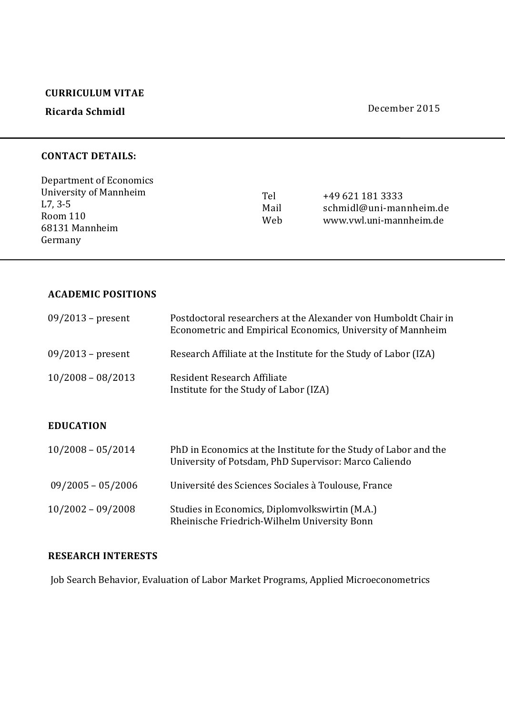### **CURRICULUM VITAE**

# **Ricarda Schmidl**

#### December 2015

### **CONTACT DETAILS:**

| Department of Economics |                    |                                                                        |
|-------------------------|--------------------|------------------------------------------------------------------------|
| University of Mannheim  | Tel<br>Mail<br>Web | +49 621 181 3333<br>schmidl@uni-mannheim.de<br>www.vwl.uni-mannheim.de |
| L7, 3-5                 |                    |                                                                        |
| Room 110                |                    |                                                                        |
| 68131 Mannheim          |                    |                                                                        |
| Germany                 |                    |                                                                        |

### **ACADEMIC POSITIONS**

| $09/2013$ – present | Postdoctoral researchers at the Alexander von Humboldt Chair in<br>Econometric and Empirical Economics, University of Mannheim |
|---------------------|--------------------------------------------------------------------------------------------------------------------------------|
| $09/2013$ – present | Research Affiliate at the Institute for the Study of Labor (IZA)                                                               |
| $10/2008 - 08/2013$ | Resident Research Affiliate<br>Institute for the Study of Labor (IZA)                                                          |
| <b>EDUCATION</b>    |                                                                                                                                |

| $10/2008 - 05/2014$ | PhD in Economics at the Institute for the Study of Labor and the<br>University of Potsdam, PhD Supervisor: Marco Caliendo |
|---------------------|---------------------------------------------------------------------------------------------------------------------------|
| $09/2005 - 05/2006$ | Université des Sciences Sociales à Toulouse, France                                                                       |
| $10/2002 - 09/2008$ | Studies in Economics, Diplomvolkswirtin (M.A.)<br>Rheinische Friedrich-Wilhelm University Bonn                            |

### **RESEARCH INTERESTS**

Job Search Behavior, Evaluation of Labor Market Programs, Applied Microeconometrics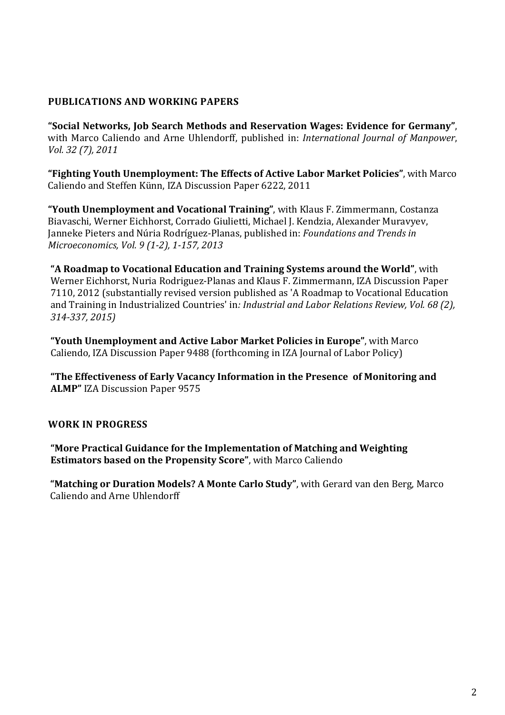# **PUBLICATIONS AND WORKING PAPERS**

**"Social Networks, Job Search Methods and Reservation Wages: Evidence for Germany"**, with Marco Caliendo and Arne Uhlendorff, published in: *International Journal of Manpower*, *Vol. 32 (7), 2011*

**"Fighting Youth Unemployment: The Effects of Active Labor Market Policies"**, with Marco Caliendo and Steffen Künn, IZA Discussion Paper 6222, 2011

**"Youth Unemployment and Vocational Training"**, with Klaus F. Zimmermann, Costanza Biavaschi, Werner Eichhorst, Corrado Giulietti, Michael J. Kendzia, Alexander Muravyev, Janneke Pieters and Núria Rodríguez-Planas, published in: *Foundations and Trends in Microeconomics, Vol. 9 (1-2), 1-157, 2013* 

**"A Roadmap to Vocational Education and Training Systems around the World"**, with Werner Eichhorst, Nuria Rodriguez-Planas and Klaus F. Zimmermann, IZA Discussion Paper 7110, 2012 (substantially revised version published as 'A Roadmap to Vocational Education and Training in Industrialized Countries' in*: Industrial and Labor Relations Review, Vol. 68 (2), 314-337, 2015)* 

**"Youth Unemployment and Active Labor Market Policies in Europe"**, with Marco Caliendo, IZA Discussion Paper 9488 (forthcoming in IZA Journal of Labor Policy)

**"The Effectiveness of Early Vacancy Information in the Presence of Monitoring and ALMP"** IZA Discussion Paper 9575

# **WORK IN PROGRESS**

**"More Practical Guidance for the Implementation of Matching and Weighting Estimators based on the Propensity Score"**, with Marco Caliendo

 **"Matching or Duration Models? A Monte Carlo Study"**, with Gerard van den Berg, Marco Caliendo and Arne Uhlendorff